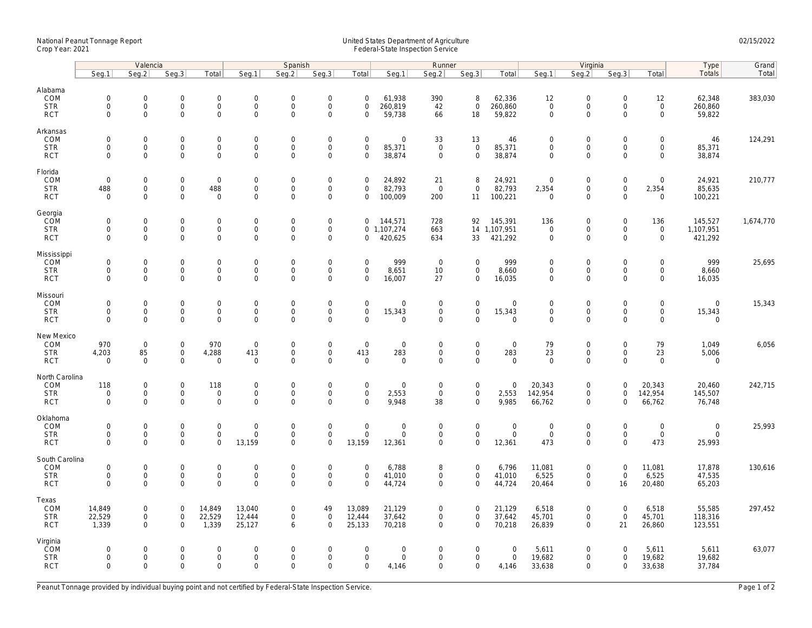## National Peanut Tonnage Report United States Department of Agriculture 02/15/2022 Crop Year: 2021 Federal-State Inspection Service

|                                                    | Valencia                                                  |                                                           |                                                   |                                           | Spanish                                           |                                                    |                                                        |                                                           | Runner                               |                                                   |                                                 |                                         | Virginia                                   |                                                |                                                   |                                                           | Type                                         | Grand     |
|----------------------------------------------------|-----------------------------------------------------------|-----------------------------------------------------------|---------------------------------------------------|-------------------------------------------|---------------------------------------------------|----------------------------------------------------|--------------------------------------------------------|-----------------------------------------------------------|--------------------------------------|---------------------------------------------------|-------------------------------------------------|-----------------------------------------|--------------------------------------------|------------------------------------------------|---------------------------------------------------|-----------------------------------------------------------|----------------------------------------------|-----------|
|                                                    | Seg.1                                                     | Seg.2                                                     | Seg.3                                             | Total                                     | Seg.1                                             | Seg.2                                              | Seg.3                                                  | Total                                                     | Seg.1                                | Seg.2                                             | Seg.3                                           | Total                                   | Seg.1                                      | Seg.2                                          | Seg.3                                             | Total                                                     | <b>Totals</b>                                | Total     |
| Alabama<br>COM<br><b>STR</b><br><b>RCT</b>         | $\mathsf{O}\xspace$<br>$\mathbf 0$<br>$\mathsf 0$         | $\mathbf 0$<br>$\mathsf{O}\xspace$<br>$\mathbf 0$         | $\mathbf 0$<br>$\mathbf 0$<br>$\mathbf 0$         | $\mathbf 0$<br>0<br>$\mathsf{O}\xspace$   | $\mathbf 0$<br>$\mathbf 0$<br>$\mathbf 0$         | $\Omega$<br>0<br>$\mathsf{O}$                      | $\mathbf 0$<br>$\boldsymbol{0}$<br>$\mathbf 0$         | $\mathbf 0$<br>$\mathbf 0$<br>$\mathbf 0$                 | 61,938<br>260,819<br>59,738          | 390<br>42<br>66                                   | 8<br>$\mathsf{O}\xspace$<br>18                  | 62,336<br>260,860<br>59,822             | 12<br>$\mathbf 0$<br>$\mathbf 0$           | $\mathbf 0$<br>$\boldsymbol{0}$<br>$\mathbf 0$ | $\mathbf 0$<br>$\mathbf 0$<br>$\mathbf 0$         | 12<br>$\mathsf{O}\xspace$<br>$\mathbf 0$                  | 62,348<br>260,860<br>59,822                  | 383,030   |
| Arkansas<br>COM<br><b>STR</b><br><b>RCT</b>        | $\mathbf 0$<br>$\mathsf 0$<br>$\mathbf 0$                 | $\mathbf 0$<br>$\mathsf 0$<br>$\Omega$                    | $\mathbf 0$<br>$\mathbf 0$<br>$\mathbf 0$         | 0<br>0<br>$\mathbf 0$                     | $\mathbf 0$<br>$\mathsf{O}\xspace$<br>$\mathbf 0$ | $\mathbf 0$<br>0<br>$\mathbf{0}$                   | $\boldsymbol{0}$<br>$\boldsymbol{0}$<br>$\mathbf{0}$   | $\mathsf{O}\xspace$<br>$\mathsf{O}\xspace$<br>$\mathbf 0$ | $\mathbf 0$<br>85,371<br>38,874      | 33<br>$\mathbf 0$<br>$\mathbf 0$                  | 13<br>0<br>$\mathbf 0$                          | 46<br>85,371<br>38,874                  | $\mathbf 0$<br>$\mathbf 0$<br>$\mathbf{0}$ | $\mathbf 0$<br>$\mathbf 0$<br>$\mathbf{0}$     | $\mathbf 0$<br>$\mathbf 0$<br>$\Omega$            | $\mathsf{O}\xspace$<br>$\mathsf{O}\xspace$<br>$\mathbf 0$ | 46<br>85,371<br>38,874                       | 124,291   |
| Florida<br>COM<br><b>STR</b><br><b>RCT</b>         | $\mathbf 0$<br>488<br>$\mathsf 0$                         | $\mathbf 0$<br>$\mathbf 0$<br>$\mathbf 0$                 | $\mathsf{O}\xspace$<br>$\mathbf 0$<br>$\mathbf 0$ | $\mathbf 0$<br>488<br>0                   | $\mathbf 0$<br>$\mathbf 0$<br>$\mathbf 0$         | $\Omega$<br>$\mathsf{O}$<br>0                      | $\mathbf 0$<br>$\mathsf{O}\xspace$<br>$\mathbf 0$      | $\Omega$<br>$\mathbf 0$<br>$\mathbf 0$                    | 24,892<br>82,793<br>100,009          | 21<br>$\overline{0}$<br>200                       | 8<br>$\mathbf 0$<br>11                          | 24,921<br>82,793<br>100,221             | $\mathbf 0$<br>2,354<br>$\mathbf 0$        | $\mathbf 0$<br>$\mathbf 0$<br>$\mathbf 0$      | $\mathbf 0$<br>$\mathbf 0$<br>$\mathbf 0$         | $\mathbf 0$<br>2,354<br>$\mathsf{O}\xspace$               | 24,921<br>85,635<br>100,221                  | 210,777   |
| Georgia<br>COM<br><b>STR</b><br><b>RCT</b>         | $\mathbf 0$<br>$\mathsf 0$<br>$\mathbf 0$                 | $\mathsf{O}\xspace$<br>$\mathsf 0$<br>$\Omega$            | $\mathsf{O}\xspace$<br>$\mathbf 0$<br>$\mathbf 0$ | 0<br>$\mathsf{O}$<br>$\mathbf 0$          | $\mathbf 0$<br>$\mathbf 0$<br>$\mathbf 0$         | $\overline{0}$<br>0<br>$\mathbf 0$                 | $\mathbf 0$<br>$\mathbf 0$<br>$\mathbf 0$              | $\mathbf 0$<br>0                                          | 144,571<br>0 1,107,274<br>420,625    | 728<br>663<br>634                                 | 92<br>33                                        | 145,391<br>14 1,107,951<br>421,292      | 136<br>$\mathbf 0$<br>$\mathbf{0}$         | $\boldsymbol{0}$<br>$\mathbf 0$<br>$\mathbf 0$ | $\mathbf 0$<br>$\mathbf 0$<br>$\Omega$            | 136<br>$\mathsf{O}\xspace$<br>$\mathbf 0$                 | 145,527<br>1,107,951<br>421,292              | 1,674,770 |
| Mississippi<br>COM<br><b>STR</b><br><b>RCT</b>     | $\mathsf 0$<br>$\mathsf 0$<br>$\mathbf 0$                 | $\mathsf{O}\xspace$<br>$\mathsf{O}\xspace$<br>$\mathbf 0$ | $\mathsf{O}\xspace$<br>$\mathbf 0$<br>$\mathbf 0$ | 0<br>$\mathbf 0$<br>0                     | $\mathsf{O}\xspace$<br>$\mathbf 0$<br>$\mathbf 0$ | 0<br>$\mathbf 0$<br>0                              | $\mathbf 0$<br>$\boldsymbol{0}$<br>$\mathbf 0$         | $\mathbf 0$<br>$\mathsf{O}\xspace$<br>$\mathbf 0$         | 999<br>8,651<br>16,007               | $\overline{0}$<br>10<br>27                        | 0<br>0<br>0                                     | 999<br>8,660<br>16,035                  | $\mathbf 0$<br>$\mathbf 0$<br>$\mathbf 0$  | $\mathbf 0$<br>$\mathbf 0$<br>$\mathbf 0$      | $\mathbf 0$<br>$\mathsf{O}\xspace$<br>$\mathbf 0$ | $\mathsf{O}\xspace$<br>$\mathbf 0$<br>$\mathbf 0$         | 999<br>8,660<br>16,035                       | 25,695    |
| Missouri<br>COM<br><b>STR</b><br><b>RCT</b>        | $\mathbf 0$<br>$\mathsf 0$<br>$\Omega$                    | $\mathbf 0$<br>$\mathsf 0$<br>$\Omega$                    | $\mathbf 0$<br>$\mathbf 0$<br>$\Omega$            | 0<br>$\mathsf{O}$<br>$\mathbf 0$          | $\mathsf{O}\xspace$<br>$\mathbf 0$<br>$\mathbf 0$ | $\mathbf 0$<br>0<br>$\mathbf 0$                    | $\boldsymbol{0}$<br>$\mathbf 0$<br>$\mathbf{0}$        | $\mathsf{O}\xspace$<br>$\mathsf{O}\xspace$<br>$\Omega$    | $\mathbf 0$<br>15,343<br>$\Omega$    | $\mathsf{O}\xspace$<br>$\mathbf 0$<br>$\Omega$    | 0<br>$\mathsf{O}\xspace$<br>$\Omega$            | $\mathbf 0$<br>15,343<br>$\mathbf 0$    | $\mathsf{O}$<br>$\mathbf 0$<br>$\mathbf 0$ | $\boldsymbol{0}$<br>$\mathbf 0$<br>$\mathbf 0$ | $\mathbf 0$<br>$\mathbf 0$<br>$\Omega$            | $\mathbf 0$<br>$\mathsf{O}\xspace$<br>$\mathbf 0$         | $\mathbf 0$<br>15,343<br>$\mathbf 0$         | 15,343    |
| New Mexico<br>COM<br><b>STR</b><br><b>RCT</b>      | 970<br>4,203<br>$\mathbf 0$                               | $\mathbf 0$<br>85<br>$\mathbf 0$                          | $\mathbf 0$<br>$\mathbf 0$<br>$\mathbf 0$         | 970<br>4,288<br>$\mathsf 0$               | $\mathbf 0$<br>413<br>$\mathbf 0$                 | $\mathbf 0$<br>0<br>$\mathbf 0$                    | $\boldsymbol{0}$<br>$\mathsf{O}\xspace$<br>$\mathbf 0$ | $\mathbf{0}$<br>413<br>$\mathbf 0$                        | $\mathbf 0$<br>283<br>$\mathbf 0$    | $\mathbf 0$<br>$\mathsf{O}\xspace$<br>$\mathbf 0$ | 0<br>$\mathsf{O}\xspace$<br>$\mathsf{O}\xspace$ | $\mathbf 0$<br>283<br>$\mathbf 0$       | 79<br>23<br>$\mathbf 0$                    | $\mathbf 0$<br>$\mathbf 0$<br>$\mathbf 0$      | $\mathbf 0$<br>$\mathbf 0$<br>$\Omega$            | 79<br>23<br>$\mathbf 0$                                   | 1,049<br>5,006<br>$\mathsf{O}\xspace$        | 6,056     |
| North Carolina<br>COM<br><b>STR</b><br><b>RCT</b>  | 118<br>$\mathbf 0$<br>$\mathbf 0$                         | $\mathsf{O}\xspace$<br>$\mathbf 0$<br>$\Omega$            | $\mathsf{O}\xspace$<br>$\mathbf 0$<br>$\mathbf 0$ | 118<br>$\mathsf{O}\xspace$<br>$\mathbf 0$ | $\mathbf 0$<br>$\mathbf{0}$<br>$\mathbf{0}$       | 0<br>$\mathbf 0$<br>$\mathbf 0$                    | $\boldsymbol{0}$<br>$\mathbf 0$<br>$\mathbf{0}$        | $\mathbf 0$<br>$\mathbf 0$<br>$\Omega$                    | $\mathbf 0$<br>2,553<br>9,948        | $\mathbf 0$<br>$\mathbf{0}$<br>38                 | 0<br>$\mathsf{O}\xspace$<br>$\mathbf 0$         | $\mathbf 0$<br>2,553<br>9,985           | 20,343<br>142,954<br>66,762                | $\boldsymbol{0}$<br>$\mathbf 0$<br>$\mathbf 0$ | $\mathbf 0$<br>$\mathbf 0$<br>$\Omega$            | 20,343<br>142,954<br>66,762                               | 20,460<br>145,507<br>76,748                  | 242,715   |
| Oklahoma<br>COM<br><b>STR</b><br><b>RCT</b>        | $\mathsf{O}\xspace$<br>$\mathsf{O}\xspace$<br>$\mathbf 0$ | $\mathsf{O}\xspace$<br>$\mathsf{O}\xspace$<br>$\mathbf 0$ | $\mathbf 0$<br>$\mathbf 0$<br>$\Omega$            | 0<br>0<br>$\mathbf 0$                     | $\mathbf 0$<br>$\mathbf{0}$<br>13,159             | $\mathsf{O}\xspace$<br>$\mathsf{O}$<br>$\mathbf 0$ | $\mathbf 0$<br>$\boldsymbol{0}$<br>$\mathbf 0$         | $\mathbf 0$<br>$\mathbf 0$<br>13,159                      | $\mathbf 0$<br>$\mathbf 0$<br>12,361 | $\mathbf 0$<br>$\mathsf{O}\xspace$<br>$\mathbf 0$ | $\mathbf 0$<br>$\mathsf{O}\xspace$<br>0         | $\mathbf 0$<br>$\mathsf 0$<br>12,361    | $\mathbf 0$<br>$\mathsf{O}\xspace$<br>473  | $\mathbf 0$<br>$\boldsymbol{0}$<br>$\mathbf 0$ | $\mathbf 0$<br>$\mathbf 0$<br>$\Omega$            | $\mathsf{O}\xspace$<br>$\mathsf{O}$<br>473                | $\mathsf{O}\xspace$<br>$\mathbf 0$<br>25,993 | 25,993    |
| South Carolina<br>COM<br><b>STR</b><br><b>RCT</b>  | $\mathsf 0$<br>$\mathsf 0$<br>$\mathbf 0$                 | $\mathsf{O}\xspace$<br>$\mathsf{O}\xspace$<br>$\Omega$    | $\mathsf{O}\xspace$<br>$\mathbf 0$<br>$\Omega$    | 0<br>0<br>$\mathbf 0$                     | $\mathsf{O}\xspace$<br>$\mathbf 0$<br>$\Omega$    | 0<br>0<br>0                                        | $\boldsymbol{0}$<br>$\boldsymbol{0}$<br>$\mathbf{0}$   | $\mathbf 0$<br>$\mathbf 0$<br>$\Omega$                    | 6,788<br>41,010<br>44,724            | 8<br>$\mathbf 0$<br>$\mathbf 0$                   | 0<br>$\mathbf 0$<br>$\mathbf 0$                 | 6,796<br>41,010<br>44,724               | 11,081<br>6,525<br>20,464                  | $\mathbf 0$<br>$\mathbf 0$<br>$\mathbf 0$      | $\mathsf{O}\xspace$<br>$\mathsf{O}\xspace$<br>16  | 11,081<br>6,525<br>20,480                                 | 17,878<br>47,535<br>65,203                   | 130,616   |
| Texas<br>COM<br><b>STR</b><br><b>RCT</b>           | 14,849<br>22,529<br>1,339                                 | $\mathsf{O}\xspace$<br>$\mathsf{O}\xspace$<br>$\mathbf 0$ | $\mathbf 0$<br>$\mathbf 0$<br>$\mathbf 0$         | 14,849<br>22,529<br>1,339                 | 13,040<br>12,444<br>25,127                        | 0<br>0<br>6                                        | 49<br>$\boldsymbol{0}$<br>$\mathbf 0$                  | 13,089<br>12,444<br>25,133                                | 21,129<br>37,642<br>70,218           | $\mathsf{O}\xspace$<br>$\mathbf 0$<br>$\mathbf 0$ | 0<br>0<br>$\mathbf 0$                           | 21,129<br>37,642<br>70,218              | 6,518<br>45,701<br>26,839                  | $\mathbf 0$<br>$\mathbf 0$<br>$\mathbf 0$      | $\mathbf 0$<br>$\mathbf 0$<br>21                  | 6,518<br>45,701<br>26,860                                 | 55,585<br>118,316<br>123,551                 | 297,452   |
| Virginia<br><b>COM</b><br><b>STR</b><br><b>RCT</b> | $\mathbf 0$<br>$\mathbf 0$<br>$\mathbf 0$                 | $\mathbf 0$<br>$\mathsf{O}\xspace$<br>$\mathbf 0$         | $\mathbf 0$<br>$\mathbf 0$<br>$\Omega$            | 0<br>$\mathsf{O}\xspace$<br>$\mathbf 0$   | $\mathbf 0$<br>$\mathsf{O}\xspace$<br>$\Omega$    | $\mathbf 0$<br>0<br>$\mathbf 0$                    | $\mathbf 0$<br>$\boldsymbol{0}$<br>$\mathbf 0$         | $\mathbf 0$<br>$\mathsf{O}\xspace$<br>$\mathbf 0$         | $\mathbf 0$<br>$\mathbf 0$<br>4,146  | $\mathbf 0$<br>$\mathbf 0$<br>$\Omega$            | 0<br>0<br>$\mathbf 0$                           | $\overline{0}$<br>$\mathsf{O}$<br>4,146 | 5,611<br>19,682<br>33,638                  | $\mathbf 0$<br>$\mathbf 0$<br>$\mathbf 0$      | $\mathbf 0$<br>$\mathbf 0$<br>$\mathbf 0$         | 5,611<br>19,682<br>33,638                                 | 5,611<br>19,682<br>37,784                    | 63,077    |

Peanut Tonnage provided by individual buying point and not certified by Federal-State Inspection Service. Page 1 of 2